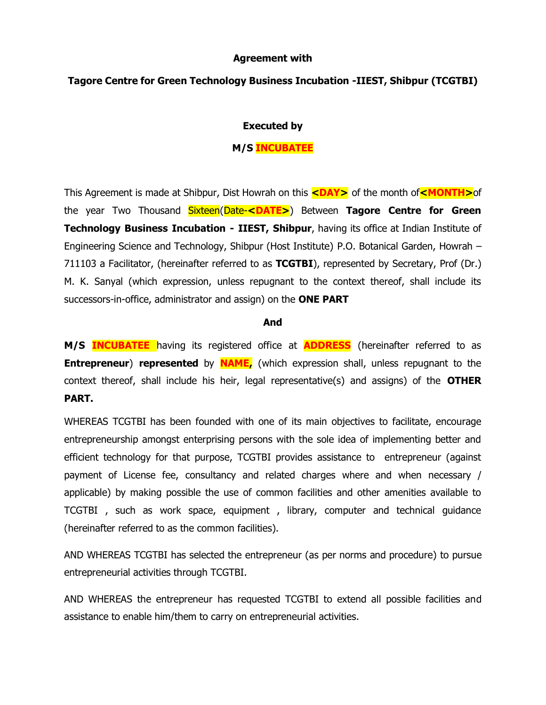### **Agreement with**

## **Tagore Centre for Green Technology Business Incubation -IIEST, Shibpur (TCGTBI)**

### **Executed by**

## **M/S INCUBATEE**

This Agreement is made at Shibpur, Dist Howrah on this **<DAY>** of the month of**<MONTH>**of the year Two Thousand Sixteen(Date-**<DATE>**) Between **Tagore Centre for Green Technology Business Incubation - IIEST, Shibpur**, having its office at Indian Institute of Engineering Science and Technology, Shibpur (Host Institute) P.O. Botanical Garden, Howrah – 711103 a Facilitator, (hereinafter referred to as **TCGTBI**), represented by Secretary, Prof (Dr.) M. K. Sanyal (which expression, unless repugnant to the context thereof, shall include its successors-in-office, administrator and assign) on the **ONE PART**

#### **And**

**M/S INCUBATEE** having its registered office at **ADDRESS** (hereinafter referred to as **Entrepreneur**) **represented** by **NAME**, (which expression shall, unless repugnant to the context thereof, shall include his heir, legal representative(s) and assigns) of the **OTHER PART.**

WHEREAS TCGTBI has been founded with one of its main objectives to facilitate, encourage entrepreneurship amongst enterprising persons with the sole idea of implementing better and efficient technology for that purpose, TCGTBI provides assistance to entrepreneur (against payment of License fee, consultancy and related charges where and when necessary / applicable) by making possible the use of common facilities and other amenities available to TCGTBI , such as work space, equipment , library, computer and technical guidance (hereinafter referred to as the common facilities).

AND WHEREAS TCGTBI has selected the entrepreneur (as per norms and procedure) to pursue entrepreneurial activities through TCGTBI.

AND WHEREAS the entrepreneur has requested TCGTBI to extend all possible facilities and assistance to enable him/them to carry on entrepreneurial activities.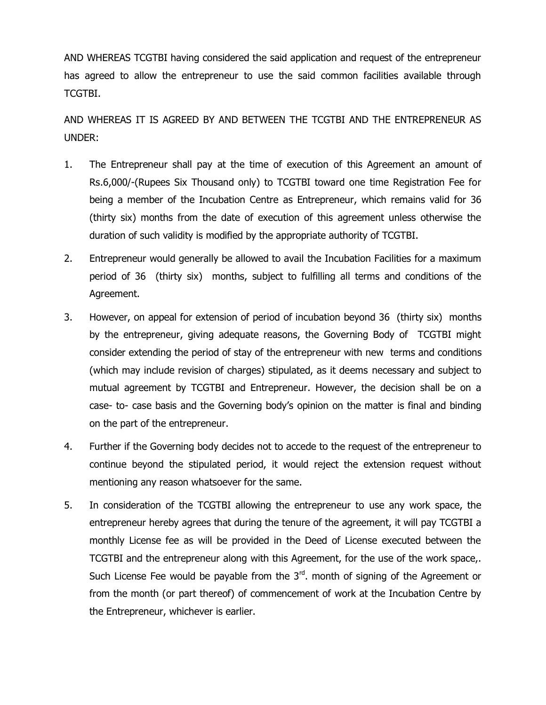AND WHEREAS TCGTBI having considered the said application and request of the entrepreneur has agreed to allow the entrepreneur to use the said common facilities available through TCGTBI.

AND WHEREAS IT IS AGREED BY AND BETWEEN THE TCGTBI AND THE ENTREPRENEUR AS UNDER:

- 1. The Entrepreneur shall pay at the time of execution of this Agreement an amount of Rs.6,000/-(Rupees Six Thousand only) to TCGTBI toward one time Registration Fee for being a member of the Incubation Centre as Entrepreneur, which remains valid for 36 (thirty six) months from the date of execution of this agreement unless otherwise the duration of such validity is modified by the appropriate authority of TCGTBI.
- 2. Entrepreneur would generally be allowed to avail the Incubation Facilities for a maximum period of 36 (thirty six) months, subject to fulfilling all terms and conditions of the Agreement.
- 3. However, on appeal for extension of period of incubation beyond 36 (thirty six) months by the entrepreneur, giving adequate reasons, the Governing Body of TCGTBI might consider extending the period of stay of the entrepreneur with new terms and conditions (which may include revision of charges) stipulated, as it deems necessary and subject to mutual agreement by TCGTBI and Entrepreneur. However, the decision shall be on a case- to- case basis and the Governing body's opinion on the matter is final and binding on the part of the entrepreneur.
- 4. Further if the Governing body decides not to accede to the request of the entrepreneur to continue beyond the stipulated period, it would reject the extension request without mentioning any reason whatsoever for the same.
- 5. In consideration of the TCGTBI allowing the entrepreneur to use any work space, the entrepreneur hereby agrees that during the tenure of the agreement, it will pay TCGTBI a monthly License fee as will be provided in the Deed of License executed between the TCGTBI and the entrepreneur along with this Agreement, for the use of the work space,. Such License Fee would be payable from the  $3<sup>rd</sup>$ . month of signing of the Agreement or from the month (or part thereof) of commencement of work at the Incubation Centre by the Entrepreneur, whichever is earlier.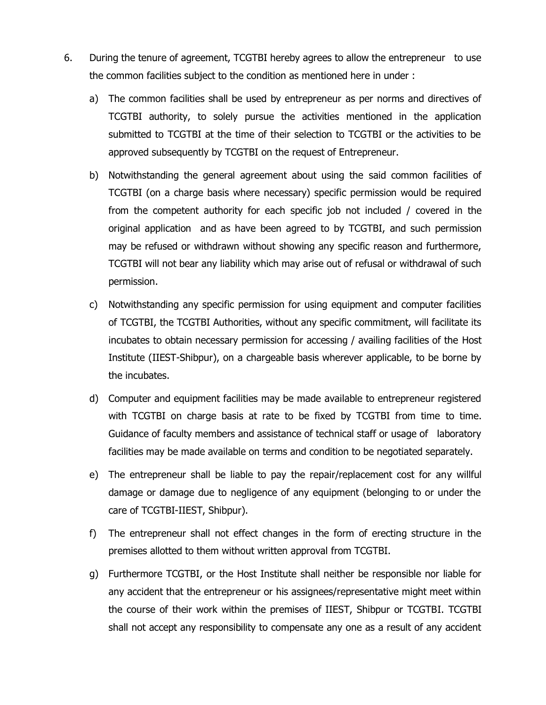- 6. During the tenure of agreement, TCGTBI hereby agrees to allow the entrepreneur to use the common facilities subject to the condition as mentioned here in under :
	- a) The common facilities shall be used by entrepreneur as per norms and directives of TCGTBI authority, to solely pursue the activities mentioned in the application submitted to TCGTBI at the time of their selection to TCGTBI or the activities to be approved subsequently by TCGTBI on the request of Entrepreneur.
	- b) Notwithstanding the general agreement about using the said common facilities of TCGTBI (on a charge basis where necessary) specific permission would be required from the competent authority for each specific job not included / covered in the original application and as have been agreed to by TCGTBI, and such permission may be refused or withdrawn without showing any specific reason and furthermore, TCGTBI will not bear any liability which may arise out of refusal or withdrawal of such permission.
	- c) Notwithstanding any specific permission for using equipment and computer facilities of TCGTBI, the TCGTBI Authorities, without any specific commitment, will facilitate its incubates to obtain necessary permission for accessing / availing facilities of the Host Institute (IIEST-Shibpur), on a chargeable basis wherever applicable, to be borne by the incubates.
	- d) Computer and equipment facilities may be made available to entrepreneur registered with TCGTBI on charge basis at rate to be fixed by TCGTBI from time to time. Guidance of faculty members and assistance of technical staff or usage of laboratory facilities may be made available on terms and condition to be negotiated separately.
	- e) The entrepreneur shall be liable to pay the repair/replacement cost for any willful damage or damage due to negligence of any equipment (belonging to or under the care of TCGTBI-IIEST, Shibpur).
	- f) The entrepreneur shall not effect changes in the form of erecting structure in the premises allotted to them without written approval from TCGTBI.
	- g) Furthermore TCGTBI, or the Host Institute shall neither be responsible nor liable for any accident that the entrepreneur or his assignees/representative might meet within the course of their work within the premises of IIEST, Shibpur or TCGTBI. TCGTBI shall not accept any responsibility to compensate any one as a result of any accident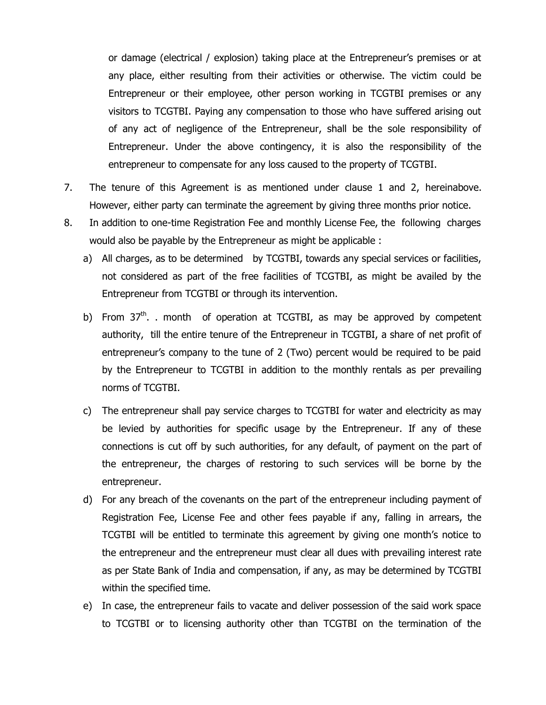or damage (electrical / explosion) taking place at the Entrepreneur's premises or at any place, either resulting from their activities or otherwise. The victim could be Entrepreneur or their employee, other person working in TCGTBI premises or any visitors to TCGTBI. Paying any compensation to those who have suffered arising out of any act of negligence of the Entrepreneur, shall be the sole responsibility of Entrepreneur. Under the above contingency, it is also the responsibility of the entrepreneur to compensate for any loss caused to the property of TCGTBI.

- 7. The tenure of this Agreement is as mentioned under clause 1 and 2, hereinabove. However, either party can terminate the agreement by giving three months prior notice.
- 8. In addition to one-time Registration Fee and monthly License Fee, the following charges would also be payable by the Entrepreneur as might be applicable :
	- a) All charges, as to be determined by TCGTBI, towards any special services or facilities, not considered as part of the free facilities of TCGTBI, as might be availed by the Entrepreneur from TCGTBI or through its intervention.
	- b) From 37<sup>th</sup>. . month of operation at TCGTBI, as may be approved by competent authority, till the entire tenure of the Entrepreneur in TCGTBI, a share of net profit of entrepreneur's company to the tune of 2 (Two) percent would be required to be paid by the Entrepreneur to TCGTBI in addition to the monthly rentals as per prevailing norms of TCGTBI.
	- c) The entrepreneur shall pay service charges to TCGTBI for water and electricity as may be levied by authorities for specific usage by the Entrepreneur. If any of these connections is cut off by such authorities, for any default, of payment on the part of the entrepreneur, the charges of restoring to such services will be borne by the entrepreneur.
	- d) For any breach of the covenants on the part of the entrepreneur including payment of Registration Fee, License Fee and other fees payable if any, falling in arrears, the TCGTBI will be entitled to terminate this agreement by giving one month's notice to the entrepreneur and the entrepreneur must clear all dues with prevailing interest rate as per State Bank of India and compensation, if any, as may be determined by TCGTBI within the specified time.
	- e) In case, the entrepreneur fails to vacate and deliver possession of the said work space to TCGTBI or to licensing authority other than TCGTBI on the termination of the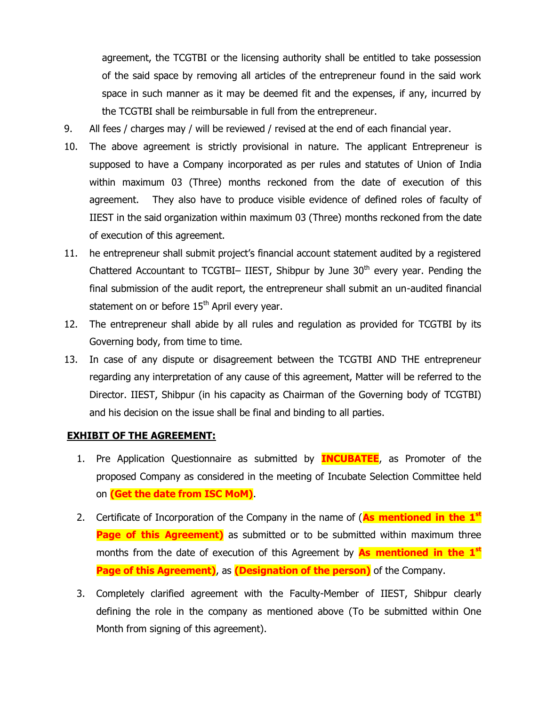agreement, the TCGTBI or the licensing authority shall be entitled to take possession of the said space by removing all articles of the entrepreneur found in the said work space in such manner as it may be deemed fit and the expenses, if any, incurred by the TCGTBI shall be reimbursable in full from the entrepreneur.

- 9. All fees / charges may / will be reviewed / revised at the end of each financial year.
- 10. The above agreement is strictly provisional in nature. The applicant Entrepreneur is supposed to have a Company incorporated as per rules and statutes of Union of India within maximum 03 (Three) months reckoned from the date of execution of this agreement. They also have to produce visible evidence of defined roles of faculty of IIEST in the said organization within maximum 03 (Three) months reckoned from the date of execution of this agreement.
- 11. he entrepreneur shall submit project's financial account statement audited by a registered Chattered Accountant to TCGTBI- IIEST, Shibpur by June  $30<sup>th</sup>$  every year. Pending the final submission of the audit report, the entrepreneur shall submit an un-audited financial statement on or before  $15<sup>th</sup>$  April every year.
- 12. The entrepreneur shall abide by all rules and regulation as provided for TCGTBI by its Governing body, from time to time.
- 13. In case of any dispute or disagreement between the TCGTBI AND THE entrepreneur regarding any interpretation of any cause of this agreement, Matter will be referred to the Director. IIEST, Shibpur (in his capacity as Chairman of the Governing body of TCGTBI) and his decision on the issue shall be final and binding to all parties.

# **EXHIBIT OF THE AGREEMENT:**

- 1. Pre Application Questionnaire as submitted by **INCUBATEE**, as Promoter of the proposed Company as considered in the meeting of Incubate Selection Committee held on **(Get the date from ISC MoM)**.
- 2. Certificate of Incorporation of the Company in the name of (**As mentioned in the 1st Page of this Agreement)** as submitted or to be submitted within maximum three months from the date of execution of this Agreement by **As mentioned in the 1st Page of this Agreement)**, as **(Designation of the person)** of the Company.
- 3. Completely clarified agreement with the Faculty-Member of IIEST, Shibpur clearly defining the role in the company as mentioned above (To be submitted within One Month from signing of this agreement).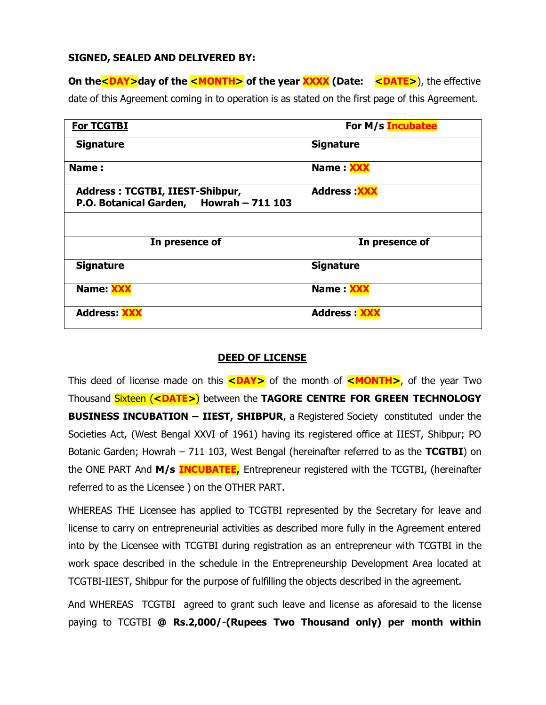### **SIGNED, SEALED AND DELIVERED BY:**

**On the <DAY>day of the <MONTH>** of the year **XXXX** (Date: <DATE>), the effective date of this Agreement coming in to operation is as stated on the first page of this Agreement.

| <b>For TCGTBI</b>                                                          | For M/s Incubatee   |
|----------------------------------------------------------------------------|---------------------|
| <b>Signature</b>                                                           | <b>Signature</b>    |
| Name:                                                                      | Name XXX            |
| Address: TCGTBI, IIEST-Shibpur,<br>P.O. Botanical Garden, Howrah - 711 103 | <b>Address: XXX</b> |
|                                                                            |                     |
| In presence of                                                             | In presence of      |
| <b>Signature</b>                                                           | <b>Signature</b>    |
| Name: XXX                                                                  | Name <b>XXX</b>     |
| <b>Address: XXX</b>                                                        | <b>Address: XXX</b> |

## **DEED OF LICENSE**

This deed of license made on this **<DAY>** of the month of **<MONTH>**, of the year Two Thousand Sixteen (**<DATE>**) between the **TAGORE CENTRE FOR GREEN TECHNOLOGY BUSINESS INCUBATION – IIEST, SHIBPUR**, a Registered Society constituted under the Societies Act, (West Bengal XXVI of 1961) having its registered office at IIEST, Shibpur; PO Botanic Garden; Howrah – 711 103, West Bengal (hereinafter referred to as the **TCGTBI**) on the ONE PART And **M/s INCUBATEE,** Entrepreneur registered with the TCGTBI, (hereinafter referred to as the Licensee ) on the OTHER PART.

WHEREAS THE Licensee has applied to TCGTBI represented by the Secretary for leave and license to carry on entrepreneurial activities as described more fully in the Agreement entered into by the Licensee with TCGTBI during registration as an entrepreneur with TCGTBI in the work space described in the schedule in the Entrepreneurship Development Area located at TCGTBI-IIEST, Shibpur for the purpose of fulfilling the objects described in the agreement.

And WHEREAS TCGTBI agreed to grant such leave and license as aforesaid to the license paying to TCGTBI **@ Rs.2,000/-(Rupees Two Thousand only) per month within**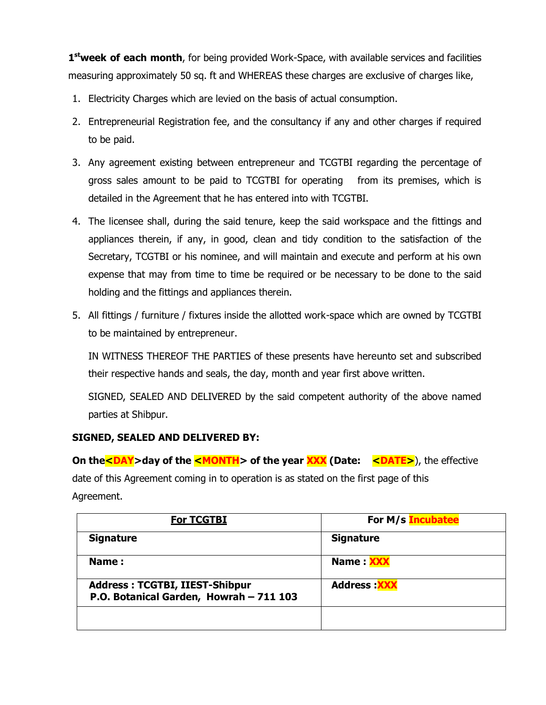1<sup>st</sup>week of each month, for being provided Work-Space, with available services and facilities measuring approximately 50 sq. ft and WHEREAS these charges are exclusive of charges like,

- 1. Electricity Charges which are levied on the basis of actual consumption.
- 2. Entrepreneurial Registration fee, and the consultancy if any and other charges if required to be paid.
- 3. Any agreement existing between entrepreneur and TCGTBI regarding the percentage of gross sales amount to be paid to TCGTBI for operating from its premises, which is detailed in the Agreement that he has entered into with TCGTBI.
- 4. The licensee shall, during the said tenure, keep the said workspace and the fittings and appliances therein, if any, in good, clean and tidy condition to the satisfaction of the Secretary, TCGTBI or his nominee, and will maintain and execute and perform at his own expense that may from time to time be required or be necessary to be done to the said holding and the fittings and appliances therein.
- 5. All fittings / furniture / fixtures inside the allotted work-space which are owned by TCGTBI to be maintained by entrepreneur.

IN WITNESS THEREOF THE PARTIES of these presents have hereunto set and subscribed their respective hands and seals, the day, month and year first above written.

SIGNED, SEALED AND DELIVERED by the said competent authority of the above named parties at Shibpur.

# **SIGNED, SEALED AND DELIVERED BY:**

**On the <DAY>day of the <MONTH> of the year XXX (Date: <DATE>), the effective** date of this Agreement coming in to operation is as stated on the first page of this Agreement.

| <b>For TCGTBI</b>                                                                | For M/s Incubatee   |
|----------------------------------------------------------------------------------|---------------------|
| <b>Signature</b>                                                                 | <b>Signature</b>    |
| <b>Name:</b>                                                                     | Name : XXX          |
| <b>Address: TCGTBI, IIEST-Shibpur</b><br>P.O. Botanical Garden, Howrah - 711 103 | <b>Address: XXX</b> |
|                                                                                  |                     |